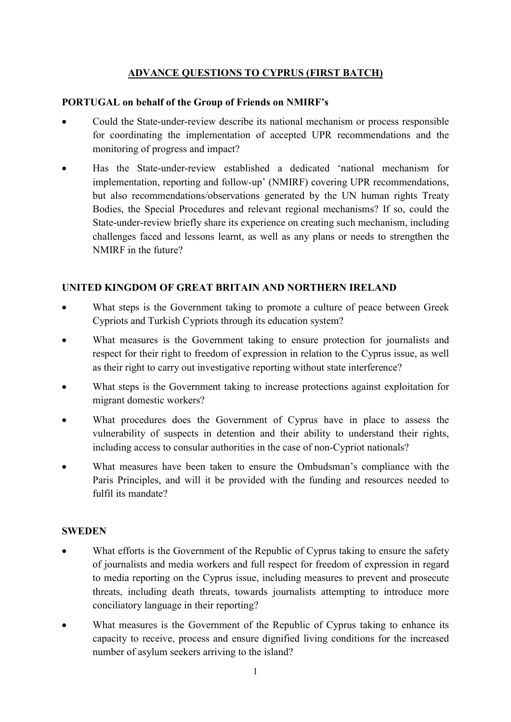## ADVANCE QUESTIONS TO CYPRUS (FIRST BATCH)

### PORTUGAL on behalf of the Group of Friends on NMIRF's

- Could the State-under-review describe its national mechanism or process responsible for coordinating the implementation of accepted UPR recommendations and the monitoring of progress and impact?
- Has the State-under-review established a dedicated 'national mechanism for implementation, reporting and follow-up' (NMIRF) covering UPR recommendations, but also recommendations/observations generated by the UN human rights Treaty Bodies, the Special Procedures and relevant regional mechanisms? If so, could the State-under-review briefly share its experience on creating such mechanism, including challenges faced and lessons learnt, as well as any plans or needs to strengthen the NMIRF in the future?

## UNITED KINGDOM OF GREAT BRITAIN AND NORTHERN IRELAND

- What steps is the Government taking to promote a culture of peace between Greek Cypriots and Turkish Cypriots through its education system?
- What measures is the Government taking to ensure protection for journalists and respect for their right to freedom of expression in relation to the Cyprus issue, as well as their right to carry out investigative reporting without state interference?
- What steps is the Government taking to increase protections against exploitation for migrant domestic workers?
- What procedures does the Government of Cyprus have in place to assess the vulnerability of suspects in detention and their ability to understand their rights, including access to consular authorities in the case of non-Cypriot nationals?
- What measures have been taken to ensure the Ombudsman's compliance with the Paris Principles, and will it be provided with the funding and resources needed to fulfil its mandate?

#### **SWEDEN**

- What efforts is the Government of the Republic of Cyprus taking to ensure the safety of journalists and media workers and full respect for freedom of expression in regard to media reporting on the Cyprus issue, including measures to prevent and prosecute threats, including death threats, towards journalists attempting to introduce more conciliatory language in their reporting?
- What measures is the Government of the Republic of Cyprus taking to enhance its capacity to receive, process and ensure dignified living conditions for the increased number of asylum seekers arriving to the island?